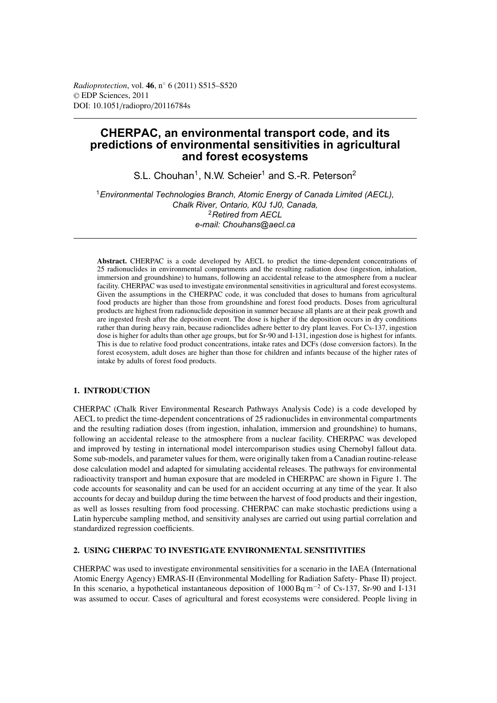*Radioprotection*, vol. **46**, n◦ 6 (2011) S515–S520 © EDP Sciences, 2011 DOI: 10.1051/radiopro/20116784s

# **CHERPAC, an environmental transport code, and its predictions of environmental sensitivities in agricultural and forest ecosystems**

S.L. Chouhan<sup>1</sup>, N.W. Scheier<sup>1</sup> and S.-R. Peterson<sup>2</sup>

<sup>1</sup>*Environmental Technologies Branch, Atomic Energy of Canada Limited (AECL), Chalk River, Ontario, K0J 1J0, Canada,* <sup>2</sup>*Retired from AECL e-mail: Chouhans@aecl.ca*

**Abstract.** CHERPAC is a code developed by AECL to predict the time-dependent concentrations of 25 radionuclides in environmental compartments and the resulting radiation dose (ingestion, inhalation, immersion and groundshine) to humans, following an accidental release to the atmosphere from a nuclear facility. CHERPAC was used to investigate environmental sensitivities in agricultural and forest ecosystems. Given the assumptions in the CHERPAC code, it was concluded that doses to humans from agricultural food products are higher than those from groundshine and forest food products. Doses from agricultural products are highest from radionuclide deposition in summer because all plants are at their peak growth and are ingested fresh after the deposition event. The dose is higher if the deposition occurs in dry conditions rather than during heavy rain, because radionclides adhere better to dry plant leaves. For Cs-137, ingestion dose is higher for adults than other age groups, but for Sr-90 and I-131, ingestion dose is highest for infants. This is due to relative food product concentrations, intake rates and DCFs (dose conversion factors). In the forest ecosystem, adult doses are higher than those for children and infants because of the higher rates of intake by adults of forest food products.

## **1. INTRODUCTION**

CHERPAC (Chalk River Environmental Research Pathways Analysis Code) is a code developed by AECL to predict the time-dependent concentrations of 25 radionuclides in environmental compartments and the resulting radiation doses (from ingestion, inhalation, immersion and groundshine) to humans, following an accidental release to the atmosphere from a nuclear facility. CHERPAC was developed and improved by testing in international model intercomparison studies using Chernobyl fallout data. Some sub-models, and parameter values for them, were originally taken from a Canadian routine-release dose calculation model and adapted for simulating accidental releases. The pathways for environmental radioactivity transport and human exposure that are modeled in CHERPAC are shown in Figure 1. The code accounts for seasonality and can be used for an accident occurring at any time of the year. It also accounts for decay and buildup during the time between the harvest of food products and their ingestion, as well as losses resulting from food processing. CHERPAC can make stochastic predictions using a Latin hypercube sampling method, and sensitivity analyses are carried out using partial correlation and standardized regression coefficients.

### **2. USING CHERPAC TO INVESTIGATE ENVIRONMENTAL SENSITIVITIES**

CHERPAC was used to investigate environmental sensitivities for a scenario in the IAEA (International Atomic Energy Agency) EMRAS-II (Environmental Modelling for Radiation Safety- Phase II) project. In this scenario, a hypothetical instantaneous deposition of 1000 Bq m−<sup>2</sup> of Cs-137, Sr-90 and I-131 was assumed to occur. Cases of agricultural and forest ecosystems were considered. People living in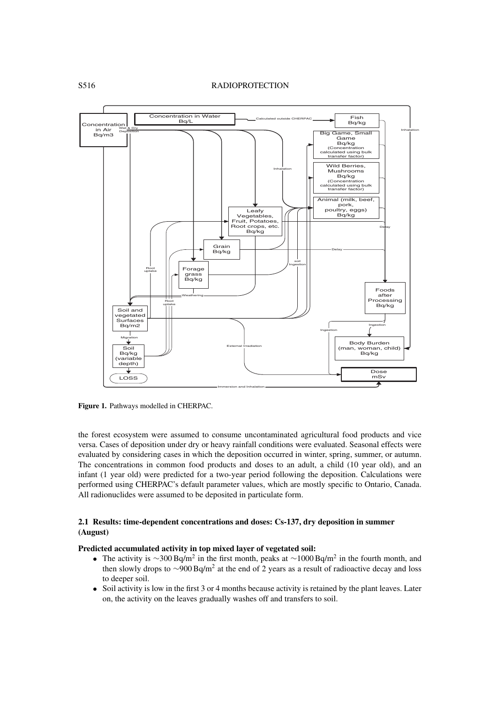

**Figure 1.** Pathways modelled in CHERPAC.

the forest ecosystem were assumed to consume uncontaminated agricultural food products and vice versa. Cases of deposition under dry or heavy rainfall conditions were evaluated. Seasonal effects were evaluated by considering cases in which the deposition occurred in winter, spring, summer, or autumn. The concentrations in common food products and doses to an adult, a child (10 year old), and an infant (1 year old) were predicted for a two-year period following the deposition. Calculations were performed using CHERPAC's default parameter values, which are mostly specific to Ontario, Canada. All radionuclides were assumed to be deposited in particulate form.

# **2.1 Results: time-dependent concentrations and doses: Cs-137, dry deposition in summer (August)**

### **Predicted accumulated activity in top mixed layer of vegetated soil:**

- The activity is  $\sim$ 300 Bq/m<sup>2</sup> in the first month, peaks at  $\sim$ 1000 Bq/m<sup>2</sup> in the fourth month, and then slowly drops to  $\sim$ 900 Bq/m<sup>2</sup> at the end of 2 years as a result of radioactive decay and loss to deeper soil.
- Soil activity is low in the first 3 or 4 months because activity is retained by the plant leaves. Later on, the activity on the leaves gradually washes off and transfers to soil.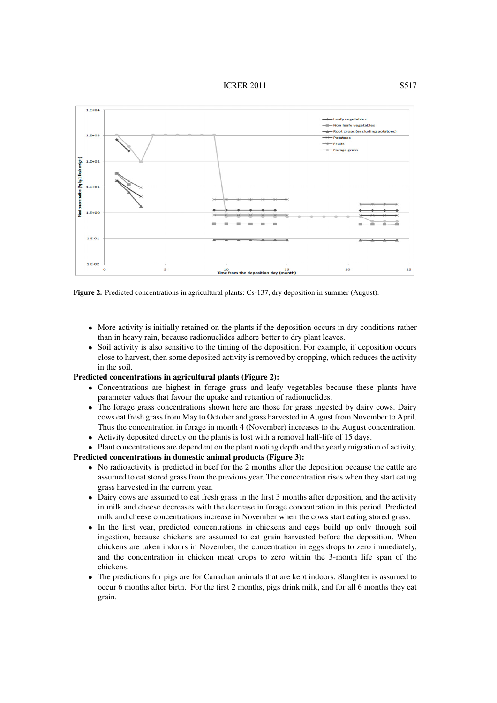#### **ICRER 2011** S517



**Figure 2.** Predicted concentrations in agricultural plants: Cs-137, dry deposition in summer (August).

- More activity is initially retained on the plants if the deposition occurs in dry conditions rather than in heavy rain, because radionuclides adhere better to dry plant leaves.
- Soil activity is also sensitive to the timing of the deposition. For example, if deposition occurs close to harvest, then some deposited activity is removed by cropping, which reduces the activity in the soil.

#### **Predicted concentrations in agricultural plants (Figure 2):**

- Concentrations are highest in forage grass and leafy vegetables because these plants have parameter values that favour the uptake and retention of radionuclides.
- The forage grass concentrations shown here are those for grass ingested by dairy cows. Dairy cows eat fresh grass from May to October and grass harvested in August from November to April. Thus the concentration in forage in month 4 (November) increases to the August concentration.
- Activity deposited directly on the plants is lost with a removal half-life of 15 days.
- Plant concentrations are dependent on the plant rooting depth and the yearly migration of activity.

**Predicted concentrations in domestic animal products (Figure 3):**

- No radioactivity is predicted in beef for the 2 months after the deposition because the cattle are assumed to eat stored grass from the previous year. The concentration rises when they start eating grass harvested in the current year.
- Dairy cows are assumed to eat fresh grass in the first 3 months after deposition, and the activity in milk and cheese decreases with the decrease in forage concentration in this period. Predicted milk and cheese concentrations increase in November when the cows start eating stored grass.
- In the first year, predicted concentrations in chickens and eggs build up only through soil ingestion, because chickens are assumed to eat grain harvested before the deposition. When chickens are taken indoors in November, the concentration in eggs drops to zero immediately, and the concentration in chicken meat drops to zero within the 3-month life span of the chickens.
- The predictions for pigs are for Canadian animals that are kept indoors. Slaughter is assumed to occur 6 months after birth. For the first 2 months, pigs drink milk, and for all 6 months they eat grain.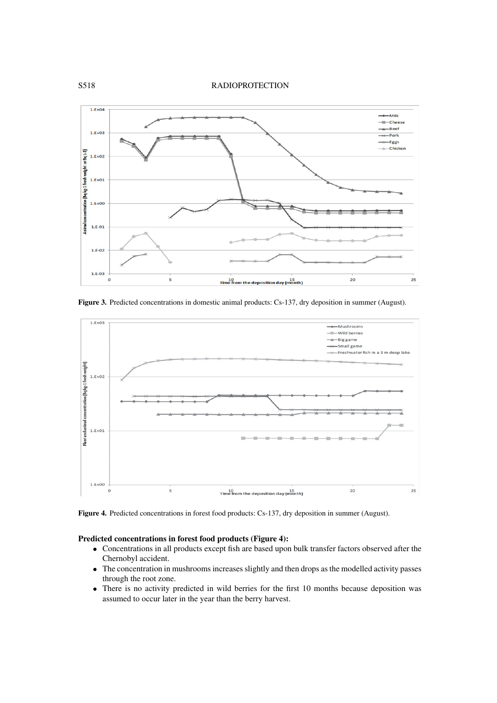### S518 RADIOPROTECTION



**Figure 3.** Predicted concentrations in domestic animal products: Cs-137, dry deposition in summer (August).



**Figure 4.** Predicted concentrations in forest food products: Cs-137, dry deposition in summer (August).

# **Predicted concentrations in forest food products (Figure 4):**

- Concentrations in all products except fish are based upon bulk transfer factors observed after the Chernobyl accident.
- The concentration in mushrooms increases slightly and then drops as the modelled activity passes through the root zone.
- There is no activity predicted in wild berries for the first 10 months because deposition was assumed to occur later in the year than the berry harvest.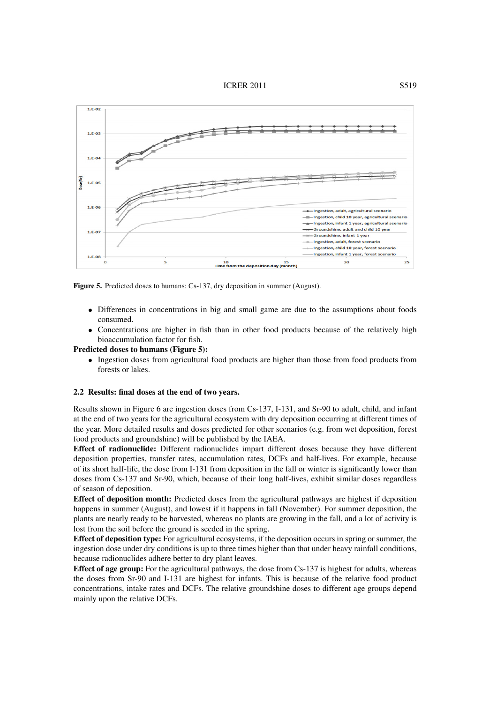**ICRER 2011** S519



**Figure 5.** Predicted doses to humans: Cs-137, dry deposition in summer (August).

- Differences in concentrations in big and small game are due to the assumptions about foods consumed.
- Concentrations are higher in fish than in other food products because of the relatively high bioaccumulation factor for fish.

#### **Predicted doses to humans (Figure 5):**

• Ingestion doses from agricultural food products are higher than those from food products from forests or lakes.

#### **2.2 Results: final doses at the end of two years.**

Results shown in Figure 6 are ingestion doses from Cs-137, I-131, and Sr-90 to adult, child, and infant at the end of two years for the agricultural ecosystem with dry deposition occurring at different times of the year. More detailed results and doses predicted for other scenarios (e.g. from wet deposition, forest food products and groundshine) will be published by the IAEA.

**Effect of radionuclide:** Different radionuclides impart different doses because they have different deposition properties, transfer rates, accumulation rates, DCFs and half-lives. For example, because of its short half-life, the dose from I-131 from deposition in the fall or winter is significantly lower than doses from Cs-137 and Sr-90, which, because of their long half-lives, exhibit similar doses regardless of season of deposition.

**Effect of deposition month:** Predicted doses from the agricultural pathways are highest if deposition happens in summer (August), and lowest if it happens in fall (November). For summer deposition, the plants are nearly ready to be harvested, whereas no plants are growing in the fall, and a lot of activity is lost from the soil before the ground is seeded in the spring.

**Effect of deposition type:** For agricultural ecosystems, if the deposition occurs in spring or summer, the ingestion dose under dry conditions is up to three times higher than that under heavy rainfall conditions, because radionuclides adhere better to dry plant leaves.

**Effect of age group:** For the agricultural pathways, the dose from Cs-137 is highest for adults, whereas the doses from Sr-90 and I-131 are highest for infants. This is because of the relative food product concentrations, intake rates and DCFs. The relative groundshine doses to different age groups depend mainly upon the relative DCFs.